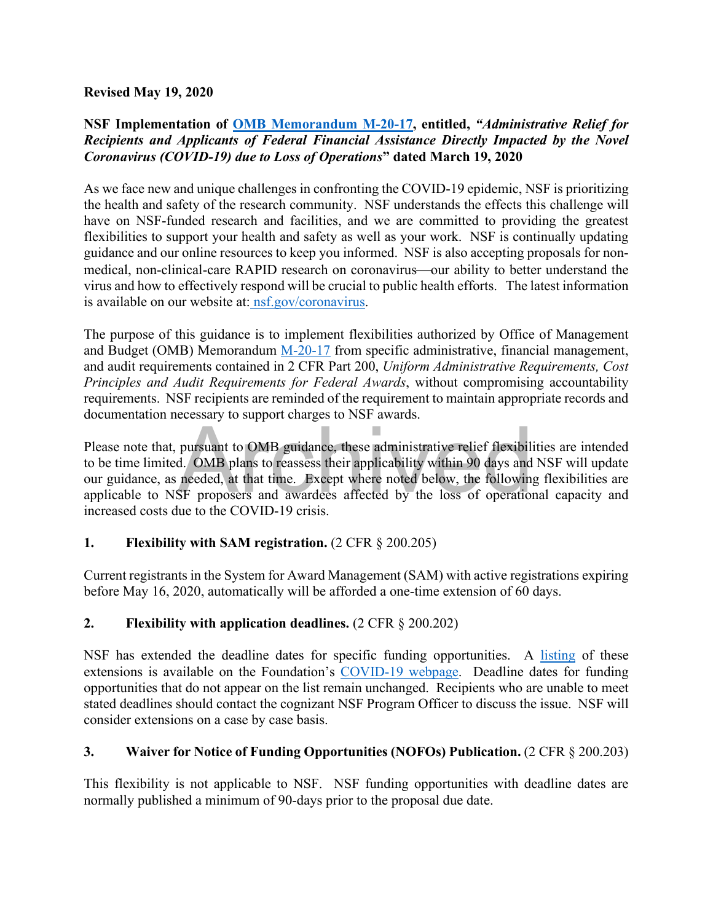#### **Revised May 19, 2020**

#### **NSF Implementation of [OMB Memorandum M-20-17,](https://www.whitehouse.gov/wp-content/uploads/2020/03/M-20-17.pdf) entitled,** *"Administrative Relief for Recipients and Applicants of Federal Financial Assistance Directly Impacted by the Novel Coronavirus (COVID-19) due to Loss of Operations***" dated March 19, 2020**

As we face new and unique challenges in confronting the COVID-19 epidemic, NSF is prioritizing the health and safety of the research community. NSF understands the effects this challenge will have on NSF-funded research and facilities, and we are committed to providing the greatest flexibilities to support your health and safety as well as your work. NSF is continually updating guidance and our online resources to keep you informed. NSF is also accepting proposals for nonmedical, non-clinical-care RAPID research on coronavirus—our ability to better understand the virus and how to effectively respond will be crucial to public health efforts. The latest information is available on our website at[: nsf.gov/coronavirus.](http://www.nsf.gov/coronavirus)

The purpose of this guidance is to implement flexibilities authorized by Office of Management and Budget (OMB) Memorandum [M-20-17](https://www.whitehouse.gov/wp-content/uploads/2020/03/M-20-17.pdf) from specific administrative, financial management, and audit requirements contained in 2 CFR Part 200, *Uniform Administrative Requirements, Cost Principles and Audit Requirements for Federal Awards*, without compromising accountability requirements. NSF recipients are reminded of the requirement to maintain appropriate records and documentation necessary to support charges to NSF awards.

pursuant to OMB guidance, these administrative relief flexibilies.<br>
A. OMB plans to reassess their applicability within 90 days and<br>
needed, at that time. Except where noted below, the following<br>
SF proposers and awardees Please note that, pursuant to OMB guidance, these administrative relief flexibilities are intended to be time limited. OMB plans to reassess their applicability within 90 days and NSF will update our guidance, as needed, at that time. Except where noted below, the following flexibilities are applicable to NSF proposers and awardees affected by the loss of operational capacity and increased costs due to the COVID-19 crisis.

#### **1. Flexibility with SAM registration.** (2 CFR § 200.205)

Current registrants in the System for Award Management (SAM) with active registrations expiring before May 16, 2020, automatically will be afforded a one-time extension of 60 days.

# **2. Flexibility with application deadlines.** (2 CFR § 200.202)

NSF has extended the deadline dates for specific funding opportunities. A [listing](https://www.nsf.gov/bfa/dias/policy/covid19/covid19_deadlines.pdf) of these extensions is available on the Foundation's [COVID-19 webpage.](https://www.nsf.gov/news/special_reports/coronavirus/) Deadline dates for funding opportunities that do not appear on the list remain unchanged.Recipients who are unable to meet stated deadlines should contact the cognizant NSF Program Officer to discuss the issue. NSF will consider extensions on a case by case basis.

#### **3. Waiver for Notice of Funding Opportunities (NOFOs) Publication.** (2 CFR § 200.203)

This flexibility is not applicable to NSF. NSF funding opportunities with deadline dates are normally published a minimum of 90-days prior to the proposal due date.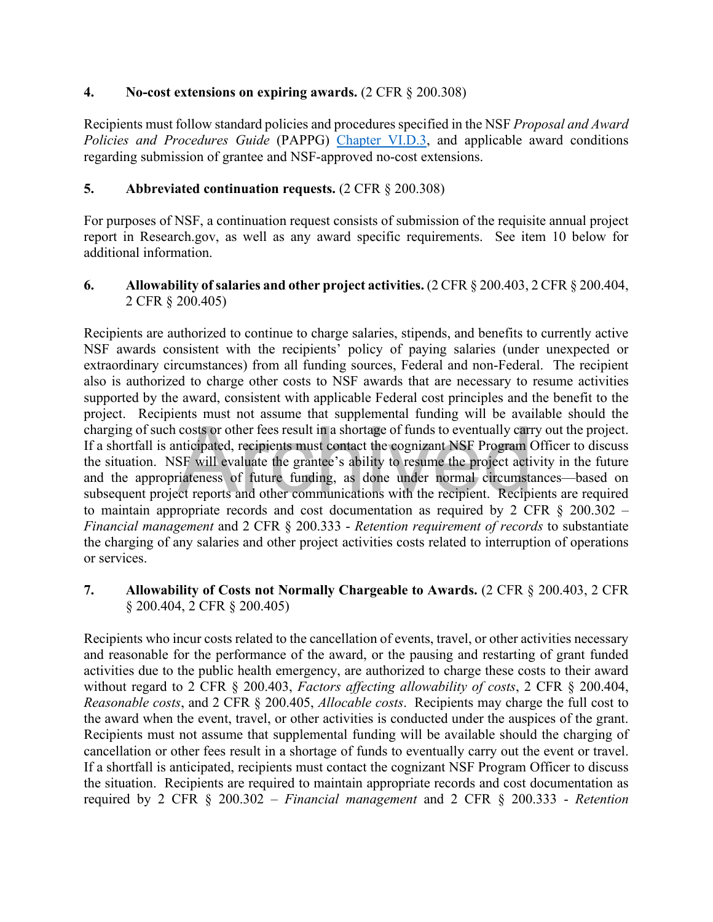#### **4. No-cost extensions on expiring awards.** (2 CFR § 200.308)

Recipients must follow standard policies and procedures specified in the NSF *Proposal and Award Policies and Procedures Guide* (PAPPG) [Chapter VI.D.3,](https://www.nsf.gov/pubs/policydocs/pappg19_1/pappg_6.jsp#VID3) and applicable award conditions regarding submission of grantee and NSF-approved no-cost extensions.

## **5. Abbreviated continuation requests.** (2 CFR § 200.308)

For purposes of NSF, a continuation request consists of submission of the requisite annual project report in Research.gov, as well as any award specific requirements. See item 10 below for additional information.

#### **6. Allowability of salaries and other project activities.** (2 CFR § 200.403, 2 CFR § 200.404, 2 CFR § 200.405)

costs or other fees result in a shortage of funds to eventually carriticipated, recipients must contact the cognizant NSF Program (SF will evaluate the grantee's ability to resume the project activateness of future funding Recipients are authorized to continue to charge salaries, stipends, and benefits to currently active NSF awards consistent with the recipients' policy of paying salaries (under unexpected or extraordinary circumstances) from all funding sources, Federal and non-Federal. The recipient also is authorized to charge other costs to NSF awards that are necessary to resume activities supported by the award, consistent with applicable Federal cost principles and the benefit to the project. Recipients must not assume that supplemental funding will be available should the charging of such costs or other fees result in a shortage of funds to eventually carry out the project. If a shortfall is anticipated, recipients must contact the cognizant NSF Program Officer to discuss the situation. NSF will evaluate the grantee's ability to resume the project activity in the future and the appropriateness of future funding, as done under normal circumstances—based on subsequent project reports and other communications with the recipient. Recipients are required to maintain appropriate records and cost documentation as required by 2 CFR  $\S$  200.302 – *Financial management* and 2 CFR § 200.333 - *Retention requirement of records* to substantiate the charging of any salaries and other project activities costs related to interruption of operations or services.

## **7. Allowability of Costs not Normally Chargeable to Awards.** (2 CFR § 200.403, 2 CFR § 200.404, 2 CFR § 200.405)

Recipients who incur costs related to the cancellation of events, travel, or other activities necessary and reasonable for the performance of the award, or the pausing and restarting of grant funded activities due to the public health emergency, are authorized to charge these costs to their award without regard to 2 CFR § 200.403, *Factors affecting allowability of costs*, 2 CFR § 200.404, *Reasonable costs*, and 2 CFR § 200.405, *Allocable costs*. Recipients may charge the full cost to the award when the event, travel, or other activities is conducted under the auspices of the grant. Recipients must not assume that supplemental funding will be available should the charging of cancellation or other fees result in a shortage of funds to eventually carry out the event or travel. If a shortfall is anticipated, recipients must contact the cognizant NSF Program Officer to discuss the situation. Recipients are required to maintain appropriate records and cost documentation as required by 2 CFR § 200.302 – *Financial management* and 2 CFR § 200.333 - *Retention*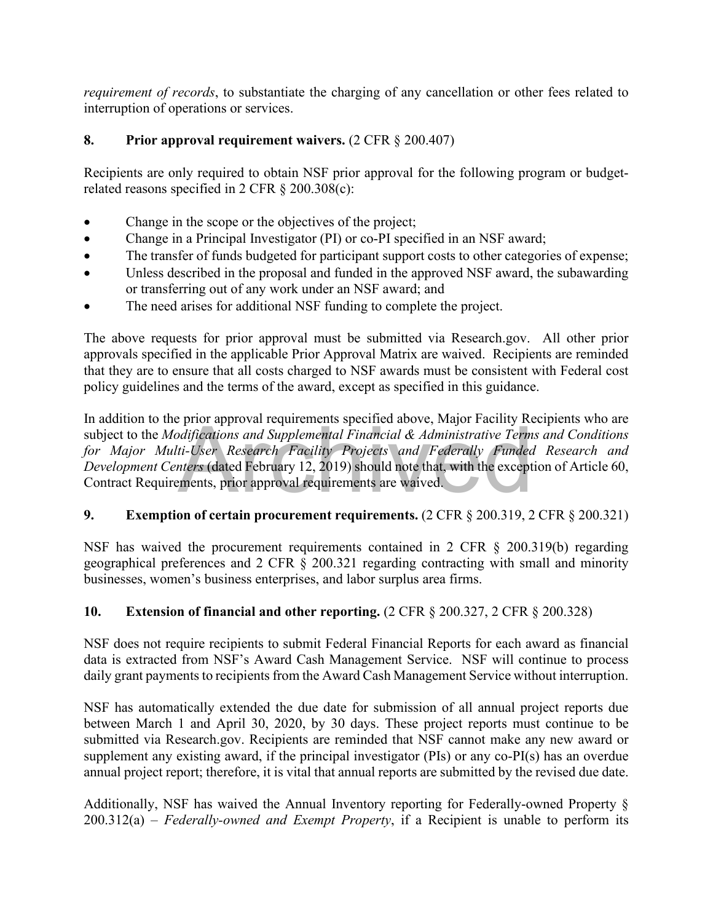*requirement of records*, to substantiate the charging of any cancellation or other fees related to interruption of operations or services.

# **8. Prior approval requirement waivers.** (2 CFR § 200.407)

Recipients are only required to obtain NSF prior approval for the following program or budgetrelated reasons specified in 2 CFR § 200.308(c):

- Change in the scope or the objectives of the project;
- Change in a Principal Investigator (PI) or co-PI specified in an NSF award;
- The transfer of funds budgeted for participant support costs to other categories of expense;
- Unless described in the proposal and funded in the approved NSF award, the subawarding or transferring out of any work under an NSF award; and
- The need arises for additional NSF funding to complete the project.

The above requests for prior approval must be submitted via Research.gov. All other prior approvals specified in the applicable Prior Approval Matrix are waived. Recipients are reminded that they are to ensure that all costs charged to NSF awards must be consistent with Federal cost policy guidelines and the terms of the award, except as specified in this guidance.

difications and Supplemental Financial & Administrative Term<br>ti-User Research Facility Projects and Federally Fundea<br>nters (dated February 12, 2019) should note that, with the except<br>ments, prior approval requirements are In addition to the prior approval requirements specified above, Major Facility Recipients who are subject to the *Modifications and Supplemental Financial & Administrative Terms and Conditions*  for Major Multi-User Research Facility Projects and Federally Funded Research and *Development Centers* (dated February 12, 2019) should note that, with the exception of Article 60, Contract Requirements, prior approval requirements are waived.

# **9. Exemption of certain procurement requirements.** (2 CFR § 200.319, 2 CFR § 200.321)

NSF has waived the procurement requirements contained in 2 CFR § 200.319(b) regarding geographical preferences and 2 CFR § 200.321 regarding contracting with small and minority businesses, women's business enterprises, and labor surplus area firms.

# **10. Extension of financial and other reporting.** (2 CFR § 200.327, 2 CFR § 200.328)

NSF does not require recipients to submit Federal Financial Reports for each award as financial data is extracted from NSF's Award Cash Management Service. NSF will continue to process daily grant payments to recipients from the Award Cash Management Service without interruption.

NSF has automatically extended the due date for submission of all annual project reports due between March 1 and April 30, 2020, by 30 days. These project reports must continue to be submitted via Research.gov. Recipients are reminded that NSF cannot make any new award or supplement any existing award, if the principal investigator (PIs) or any co-PI(s) has an overdue annual project report; therefore, it is vital that annual reports are submitted by the revised due date.

Additionally, NSF has waived the Annual Inventory reporting for Federally-owned Property § 200.312(a) – *Federally-owned and Exempt Property*, if a Recipient is unable to perform its